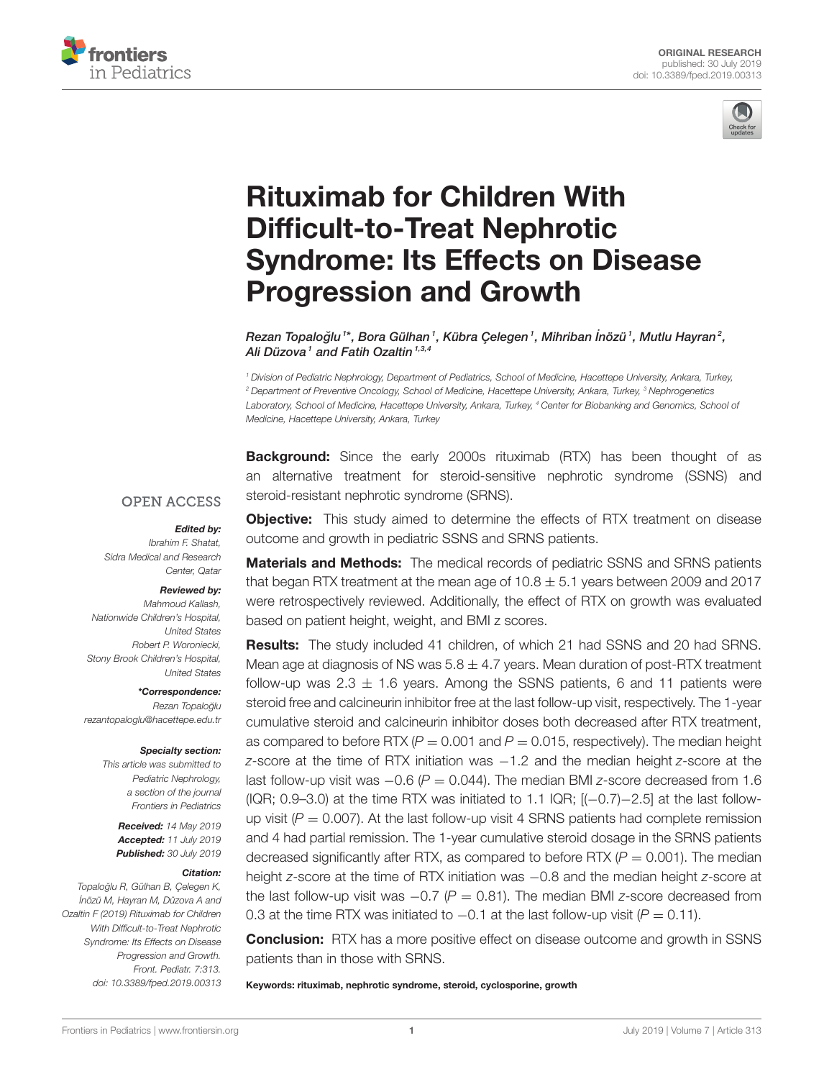



# Rituximab for Children With Difficult-to-Treat Nephrotic [Syndrome: Its Effects on Disease](https://www.frontiersin.org/articles/10.3389/fped.2019.00313/full) Progression and Growth

Rezan Topaloğlu<sup>1\*</sup>, [Bora Gülhan](http://loop.frontiersin.org/people/737359/overview)<sup>1</sup>, Kübra Çelegen<sup>1</sup>, Mihriban İnözü<sup>1</sup>, Mutlu Hayran<sup>2</sup>, Ali Düzova<sup>1</sup> and Fatih Ozaltin<sup>1,3,4</sup>

<sup>1</sup> Division of Pediatric Nephrology, Department of Pediatrics, School of Medicine, Hacettepe University, Ankara, Turkey, <sup>2</sup> Department of Preventive Oncology, School of Medicine, Hacettepe University, Ankara, Turkey, <sup>3</sup> Nephrogenetics Laboratory, School of Medicine, Hacettepe University, Ankara, Turkey, <sup>4</sup> Center for Biobanking and Genomics, School of Medicine, Hacettepe University, Ankara, Turkey

**Background:** Since the early 2000s rituximab (RTX) has been thought of as an alternative treatment for steroid-sensitive nephrotic syndrome (SSNS) and steroid-resistant nephrotic syndrome (SRNS).

#### **OPEN ACCESS**

#### Edited by:

Ibrahim F. Shatat, Sidra Medical and Research Center, Oatar

#### Reviewed by:

Mahmoud Kallash, Nationwide Children's Hospital, United States Robert P. Woroniecki, Stony Brook Children's Hospital, United States

\*Correspondence: Rezan Topaloğlu [rezantopaloglu@hacettepe.edu.tr](mailto:rezantopaloglu@hacettepe.edu.tr)

#### Specialty section:

This article was submitted to Pediatric Nephrology, a section of the journal Frontiers in Pediatrics

> Received: 14 May 2019 Accepted: 11 July 2019 Published: 30 July 2019

#### Citation:

Topaloğlu R, Gülhan B, Çelegen K, ˙ Inözü M, Hayran M, Düzova A and Ozaltin F (2019) Rituximab for Children With Difficult-to-Treat Nephrotic Syndrome: Its Effects on Disease Progression and Growth. Front. Pediatr. 7:313. doi: [10.3389/fped.2019.00313](https://doi.org/10.3389/fped.2019.00313) **Objective:** This study aimed to determine the effects of RTX treatment on disease outcome and growth in pediatric SSNS and SRNS patients.

Materials and Methods: The medical records of pediatric SSNS and SRNS patients that began RTX treatment at the mean age of  $10.8 \pm 5.1$  years between 2009 and 2017 were retrospectively reviewed. Additionally, the effect of RTX on growth was evaluated based on patient height, weight, and BMI z scores.

Results: The study included 41 children, of which 21 had SSNS and 20 had SRNS. Mean age at diagnosis of NS was  $5.8 \pm 4.7$  years. Mean duration of post-RTX treatment follow-up was  $2.3 \pm 1.6$  years. Among the SSNS patients, 6 and 11 patients were steroid free and calcineurin inhibitor free at the last follow-up visit, respectively. The 1-year cumulative steroid and calcineurin inhibitor doses both decreased after RTX treatment, as compared to before RTX ( $P = 0.001$  and  $P = 0.015$ , respectively). The median height z-score at the time of RTX initiation was -1.2 and the median height z-score at the last follow-up visit was  $-0.6$  ( $P = 0.044$ ). The median BMI z-score decreased from 1.6 (IQR; 0.9–3.0) at the time RTX was initiated to 1.1 IQR; [(−0.7)−2.5] at the last followup visit ( $P = 0.007$ ). At the last follow-up visit 4 SRNS patients had complete remission and 4 had partial remission. The 1-year cumulative steroid dosage in the SRNS patients decreased significantly after RTX, as compared to before RTX ( $P = 0.001$ ). The median height z-score at the time of RTX initiation was  $-0.8$  and the median height z-score at the last follow-up visit was  $-0.7$  ( $P = 0.81$ ). The median BMI z-score decreased from 0.3 at the time RTX was initiated to  $-0.1$  at the last follow-up visit ( $P = 0.11$ ).

**Conclusion:** RTX has a more positive effect on disease outcome and growth in SSNS patients than in those with SRNS.

Keywords: rituximab, nephrotic syndrome, steroid, cyclosporine, growth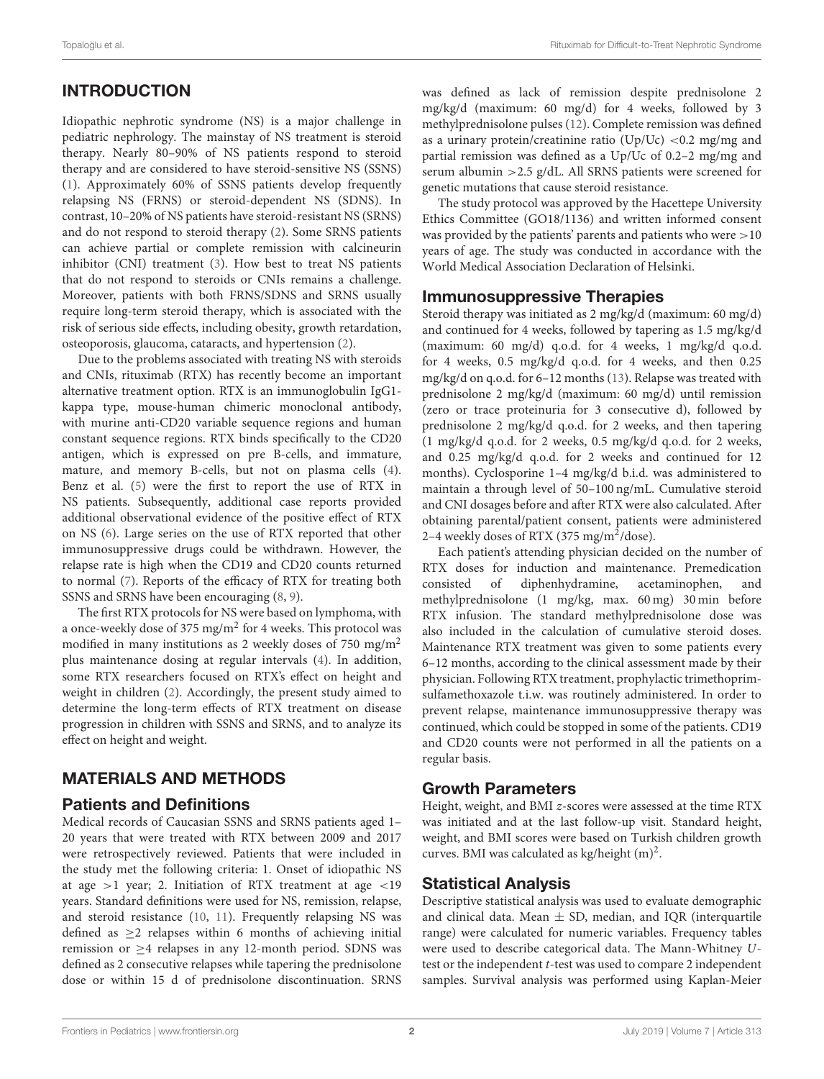# INTRODUCTION

Idiopathic nephrotic syndrome (NS) is a major challenge in pediatric nephrology. The mainstay of NS treatment is steroid therapy. Nearly 80–90% of NS patients respond to steroid therapy and are considered to have steroid-sensitive NS (SSNS) [\(1\)](#page-5-0). Approximately 60% of SSNS patients develop frequently relapsing NS (FRNS) or steroid-dependent NS (SDNS). In contrast, 10–20% of NS patients have steroid-resistant NS (SRNS) and do not respond to steroid therapy [\(2\)](#page-5-1). Some SRNS patients can achieve partial or complete remission with calcineurin inhibitor (CNI) treatment [\(3\)](#page-5-2). How best to treat NS patients that do not respond to steroids or CNIs remains a challenge. Moreover, patients with both FRNS/SDNS and SRNS usually require long-term steroid therapy, which is associated with the risk of serious side effects, including obesity, growth retardation, osteoporosis, glaucoma, cataracts, and hypertension [\(2\)](#page-5-1).

Due to the problems associated with treating NS with steroids and CNIs, rituximab (RTX) has recently become an important alternative treatment option. RTX is an immunoglobulin IgG1 kappa type, mouse-human chimeric monoclonal antibody, with murine anti-CD20 variable sequence regions and human constant sequence regions. RTX binds specifically to the CD20 antigen, which is expressed on pre B-cells, and immature, mature, and memory B-cells, but not on plasma cells [\(4\)](#page-6-0). Benz et al. [\(5\)](#page-6-1) were the first to report the use of RTX in NS patients. Subsequently, additional case reports provided additional observational evidence of the positive effect of RTX on NS [\(6\)](#page-6-2). Large series on the use of RTX reported that other immunosuppressive drugs could be withdrawn. However, the relapse rate is high when the CD19 and CD20 counts returned to normal [\(7\)](#page-6-3). Reports of the efficacy of RTX for treating both SSNS and SRNS have been encouraging [\(8,](#page-6-4) [9\)](#page-6-5).

The first RTX protocols for NS were based on lymphoma, with a once-weekly dose of 375 mg/m $^2$  for 4 weeks. This protocol was modified in many institutions as 2 weekly doses of 750 mg/m<sup>2</sup> plus maintenance dosing at regular intervals [\(4\)](#page-6-0). In addition, some RTX researchers focused on RTX's effect on height and weight in children [\(2\)](#page-5-1). Accordingly, the present study aimed to determine the long-term effects of RTX treatment on disease progression in children with SSNS and SRNS, and to analyze its effect on height and weight.

# MATERIALS AND METHODS

#### Patients and Definitions

Medical records of Caucasian SSNS and SRNS patients aged 1– 20 years that were treated with RTX between 2009 and 2017 were retrospectively reviewed. Patients that were included in the study met the following criteria: 1. Onset of idiopathic NS at age  $>1$  year; 2. Initiation of RTX treatment at age  $<19$ years. Standard definitions were used for NS, remission, relapse, and steroid resistance [\(10,](#page-6-6) [11\)](#page-6-7). Frequently relapsing NS was defined as  $\geq$ 2 relapses within 6 months of achieving initial remission or  $\geq$ 4 relapses in any 12-month period. SDNS was defined as 2 consecutive relapses while tapering the prednisolone dose or within 15 d of prednisolone discontinuation. SRNS was defined as lack of remission despite prednisolone 2 mg/kg/d (maximum: 60 mg/d) for 4 weeks, followed by 3 methylprednisolone pulses [\(12\)](#page-6-8). Complete remission was defined as a urinary protein/creatinine ratio (Up/Uc) <0.2 mg/mg and partial remission was defined as a Up/Uc of 0.2–2 mg/mg and serum albumin >2.5 g/dL. All SRNS patients were screened for genetic mutations that cause steroid resistance.

The study protocol was approved by the Hacettepe University Ethics Committee (GO18/1136) and written informed consent was provided by the patients' parents and patients who were >10 years of age. The study was conducted in accordance with the World Medical Association Declaration of Helsinki.

### Immunosuppressive Therapies

Steroid therapy was initiated as 2 mg/kg/d (maximum: 60 mg/d) and continued for 4 weeks, followed by tapering as 1.5 mg/kg/d (maximum: 60 mg/d) q.o.d. for 4 weeks, 1 mg/kg/d q.o.d. for 4 weeks, 0.5 mg/kg/d q.o.d. for 4 weeks, and then 0.25 mg/kg/d on q.o.d. for 6–12 months [\(13\)](#page-6-9). Relapse was treated with prednisolone 2 mg/kg/d (maximum: 60 mg/d) until remission (zero or trace proteinuria for 3 consecutive d), followed by prednisolone 2 mg/kg/d q.o.d. for 2 weeks, and then tapering (1 mg/kg/d q.o.d. for 2 weeks, 0.5 mg/kg/d q.o.d. for 2 weeks, and 0.25 mg/kg/d q.o.d. for 2 weeks and continued for 12 months). Cyclosporine 1–4 mg/kg/d b.i.d. was administered to maintain a through level of 50–100 ng/mL. Cumulative steroid and CNI dosages before and after RTX were also calculated. After obtaining parental/patient consent, patients were administered 2-4 weekly doses of RTX (375 mg/m<sup>2</sup>/dose).

Each patient's attending physician decided on the number of RTX doses for induction and maintenance. Premedication consisted of diphenhydramine, acetaminophen, and methylprednisolone (1 mg/kg, max. 60 mg) 30 min before RTX infusion. The standard methylprednisolone dose was also included in the calculation of cumulative steroid doses. Maintenance RTX treatment was given to some patients every 6–12 months, according to the clinical assessment made by their physician. Following RTX treatment, prophylactic trimethoprimsulfamethoxazole t.i.w. was routinely administered. In order to prevent relapse, maintenance immunosuppressive therapy was continued, which could be stopped in some of the patients. CD19 and CD20 counts were not performed in all the patients on a regular basis.

## Growth Parameters

Height, weight, and BMI z-scores were assessed at the time RTX was initiated and at the last follow-up visit. Standard height, weight, and BMI scores were based on Turkish children growth curves. BMI was calculated as kg/height  $(m)^2$ .

## Statistical Analysis

Descriptive statistical analysis was used to evaluate demographic and clinical data. Mean  $\pm$  SD, median, and IQR (interquartile range) were calculated for numeric variables. Frequency tables were used to describe categorical data. The Mann-Whitney Utest or the independent t-test was used to compare 2 independent samples. Survival analysis was performed using Kaplan-Meier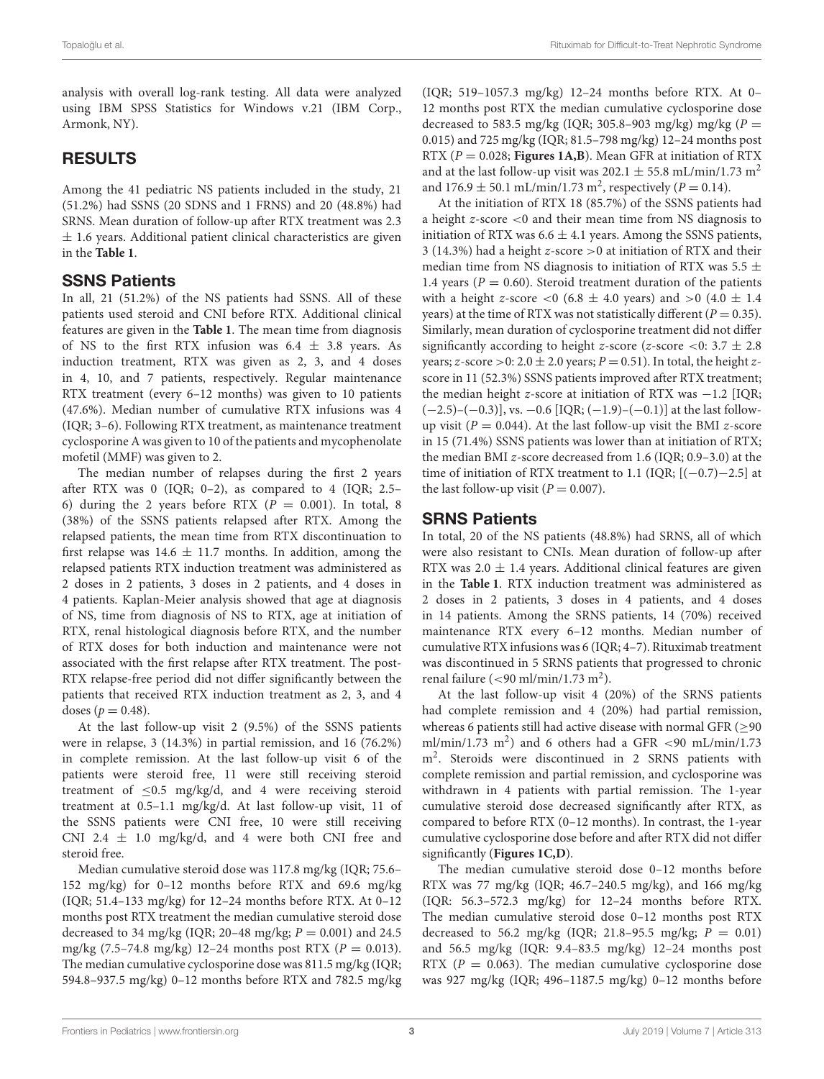analysis with overall log-rank testing. All data were analyzed using IBM SPSS Statistics for Windows v.21 (IBM Corp., Armonk, NY).

# RESULTS

Among the 41 pediatric NS patients included in the study, 21 (51.2%) had SSNS (20 SDNS and 1 FRNS) and 20 (48.8%) had SRNS. Mean duration of follow-up after RTX treatment was 2.3  $\pm$  1.6 years. Additional patient clinical characteristics are given in the **[Table 1](#page-3-0)**.

# SSNS Patients

In all, 21 (51.2%) of the NS patients had SSNS. All of these patients used steroid and CNI before RTX. Additional clinical features are given in the **[Table 1](#page-3-0)**. The mean time from diagnosis of NS to the first RTX infusion was  $6.4 \pm 3.8$  years. As induction treatment, RTX was given as 2, 3, and 4 doses in 4, 10, and 7 patients, respectively. Regular maintenance RTX treatment (every 6–12 months) was given to 10 patients (47.6%). Median number of cumulative RTX infusions was 4 (IQR; 3–6). Following RTX treatment, as maintenance treatment cyclosporine A was given to 10 of the patients and mycophenolate mofetil (MMF) was given to 2.

The median number of relapses during the first 2 years after RTX was 0 (IQR;  $0-2$ ), as compared to 4 (IQR; 2.5– 6) during the 2 years before RTX ( $P = 0.001$ ). In total, 8 (38%) of the SSNS patients relapsed after RTX. Among the relapsed patients, the mean time from RTX discontinuation to first relapse was  $14.6 \pm 11.7$  months. In addition, among the relapsed patients RTX induction treatment was administered as 2 doses in 2 patients, 3 doses in 2 patients, and 4 doses in 4 patients. Kaplan-Meier analysis showed that age at diagnosis of NS, time from diagnosis of NS to RTX, age at initiation of RTX, renal histological diagnosis before RTX, and the number of RTX doses for both induction and maintenance were not associated with the first relapse after RTX treatment. The post-RTX relapse-free period did not differ significantly between the patients that received RTX induction treatment as 2, 3, and 4 doses ( $p = 0.48$ ).

At the last follow-up visit 2 (9.5%) of the SSNS patients were in relapse, 3 (14.3%) in partial remission, and 16 (76.2%) in complete remission. At the last follow-up visit 6 of the patients were steroid free, 11 were still receiving steroid treatment of  $\leq 0.5$  mg/kg/d, and 4 were receiving steroid treatment at 0.5–1.1 mg/kg/d. At last follow-up visit, 11 of the SSNS patients were CNI free, 10 were still receiving CNI 2.4  $\pm$  1.0 mg/kg/d, and 4 were both CNI free and steroid free.

Median cumulative steroid dose was 117.8 mg/kg (IQR; 75.6– 152 mg/kg) for 0–12 months before RTX and 69.6 mg/kg (IQR; 51.4–133 mg/kg) for 12–24 months before RTX. At 0–12 months post RTX treatment the median cumulative steroid dose decreased to 34 mg/kg (IQR; 20–48 mg/kg;  $P = 0.001$ ) and 24.5 mg/kg (7.5–74.8 mg/kg) 12–24 months post RTX ( $P = 0.013$ ). The median cumulative cyclosporine dose was 811.5 mg/kg (IQR; 594.8–937.5 mg/kg) 0–12 months before RTX and 782.5 mg/kg (IQR; 519–1057.3 mg/kg) 12–24 months before RTX. At 0– 12 months post RTX the median cumulative cyclosporine dose decreased to 583.5 mg/kg (IQR; 305.8-903 mg/kg) mg/kg ( $P =$ 0.015) and 725 mg/kg (IQR; 81.5–798 mg/kg) 12–24 months post RTX ( $P = 0.028$ ; **[Figures 1A,B](#page-4-0)**). Mean GFR at initiation of RTX and at the last follow-up visit was 202.1  $\pm$  55.8 mL/min/1.73 m<sup>2</sup> and  $176.9 \pm 50.1$  mL/min/1.73 m<sup>2</sup>, respectively ( $P = 0.14$ ).

At the initiation of RTX 18 (85.7%) of the SSNS patients had a height z-score <0 and their mean time from NS diagnosis to initiation of RTX was  $6.6 \pm 4.1$  years. Among the SSNS patients, 3 (14.3%) had a height z-score >0 at initiation of RTX and their median time from NS diagnosis to initiation of RTX was 5.5  $\pm$ 1.4 years ( $P = 0.60$ ). Steroid treatment duration of the patients with a height z-score <0 (6.8  $\pm$  4.0 years) and >0 (4.0  $\pm$  1.4 years) at the time of RTX was not statistically different ( $P = 0.35$ ). Similarly, mean duration of cyclosporine treatment did not differ significantly according to height z-score (z-score <0:  $3.7 \pm 2.8$ years; z-score > 0: 2.0  $\pm$  2.0 years; P = 0.51). In total, the height zscore in 11 (52.3%) SSNS patients improved after RTX treatment; the median height z-score at initiation of RTX was  $-1.2$  [IQR;  $(-2.5)-(-0.3)$ ], vs.  $-0.6$  [IQR;  $(-1.9)-(-0.1)$ ] at the last followup visit ( $P = 0.044$ ). At the last follow-up visit the BMI z-score in 15 (71.4%) SSNS patients was lower than at initiation of RTX; the median BMI z-score decreased from 1.6 (IQR; 0.9–3.0) at the time of initiation of RTX treatment to 1.1 (IQR;  $[(-0.7)-2.5]$  at the last follow-up visit ( $P = 0.007$ ).

## SRNS Patients

In total, 20 of the NS patients (48.8%) had SRNS, all of which were also resistant to CNIs. Mean duration of follow-up after RTX was  $2.0 \pm 1.4$  years. Additional clinical features are given in the **[Table 1](#page-3-0)**. RTX induction treatment was administered as 2 doses in 2 patients, 3 doses in 4 patients, and 4 doses in 14 patients. Among the SRNS patients, 14 (70%) received maintenance RTX every 6–12 months. Median number of cumulative RTX infusions was 6 (IQR; 4–7). Rituximab treatment was discontinued in 5 SRNS patients that progressed to chronic renal failure (<90 ml/min/1.73 m<sup>2</sup>).

At the last follow-up visit 4 (20%) of the SRNS patients had complete remission and 4 (20%) had partial remission, whereas 6 patients still had active disease with normal GFR ( $\geq$ 90 ml/min/1.73 m<sup>2</sup>) and 6 others had a GFR <90 mL/min/1.73 m<sup>2</sup> . Steroids were discontinued in 2 SRNS patients with complete remission and partial remission, and cyclosporine was withdrawn in 4 patients with partial remission. The 1-year cumulative steroid dose decreased significantly after RTX, as compared to before RTX (0–12 months). In contrast, the 1-year cumulative cyclosporine dose before and after RTX did not differ significantly (**[Figures 1C,D](#page-4-0)**).

The median cumulative steroid dose 0–12 months before RTX was 77 mg/kg (IQR; 46.7–240.5 mg/kg), and 166 mg/kg (IQR: 56.3–572.3 mg/kg) for 12–24 months before RTX. The median cumulative steroid dose 0–12 months post RTX decreased to 56.2 mg/kg (IQR; 21.8-95.5 mg/kg;  $P = 0.01$ ) and 56.5 mg/kg (IQR: 9.4–83.5 mg/kg) 12–24 months post RTX ( $P = 0.063$ ). The median cumulative cyclosporine dose was 927 mg/kg (IQR; 496–1187.5 mg/kg) 0–12 months before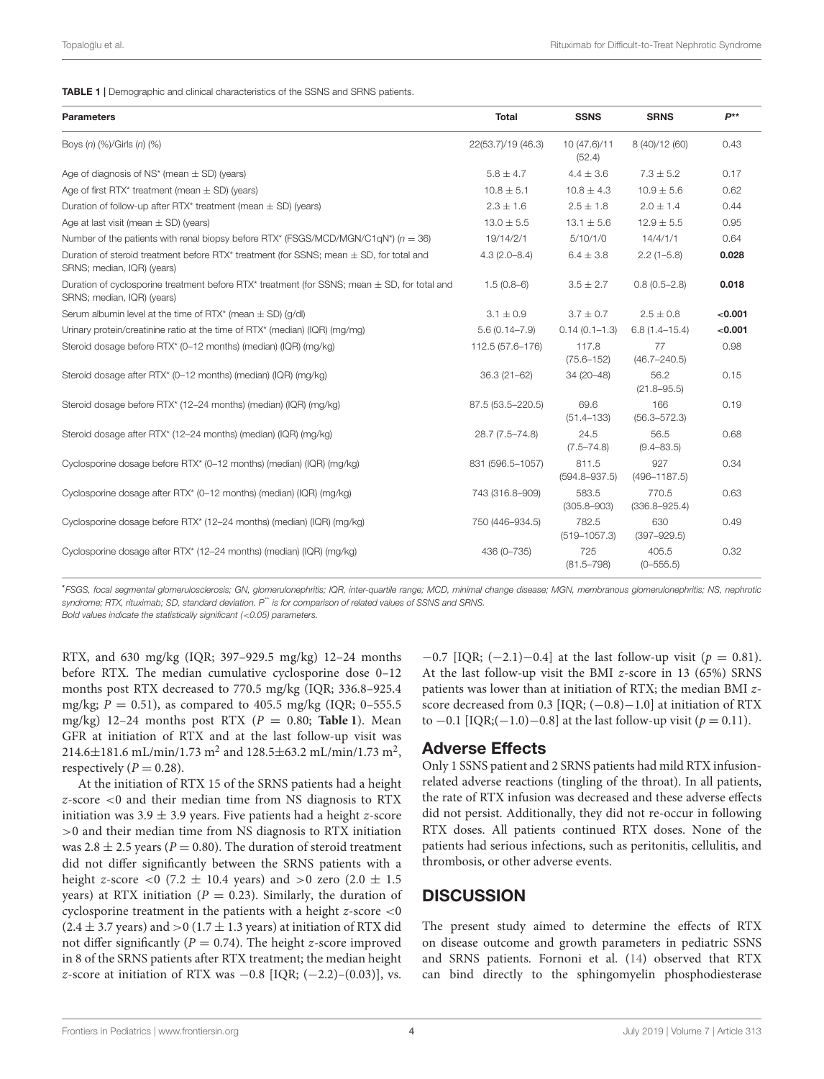<span id="page-3-0"></span>TABLE 1 | Demographic and clinical characteristics of the SSNS and SRNS patients.

| <b>Parameters</b>                                                                                                              | <b>Total</b>       | <b>SSNS</b>                | <b>SRNS</b>                | P**     |
|--------------------------------------------------------------------------------------------------------------------------------|--------------------|----------------------------|----------------------------|---------|
| Boys (n) (%)/Girls (n) (%)                                                                                                     | 22(53.7)/19 (46.3) | 10 (47.6)/11<br>(52.4)     | 8 (40)/12 (60)             | 0.43    |
| Age of diagnosis of NS <sup>*</sup> (mean $\pm$ SD) (years)                                                                    | $5.8 \pm 4.7$      | $4.4 \pm 3.6$              | $7.3 \pm 5.2$              | 0.17    |
| Age of first RTX* treatment (mean $\pm$ SD) (years)                                                                            | $10.8 \pm 5.1$     | $10.8 \pm 4.3$             | $10.9 \pm 5.6$             | 0.62    |
| Duration of follow-up after RTX* treatment (mean $\pm$ SD) (years)                                                             | $2.3 \pm 1.6$      | $2.5 \pm 1.8$              | $2.0 \pm 1.4$              | 0.44    |
| Age at last visit (mean $\pm$ SD) (years)                                                                                      | $13.0 \pm 5.5$     | $13.1 \pm 5.6$             | $12.9 \pm 5.5$             | 0.95    |
| Number of the patients with renal biopsy before RTX* (FSGS/MCD/MGN/C1qN*) ( $n = 36$ )                                         | 19/14/2/1          | 5/10/1/0                   | 14/4/1/1                   | 0.64    |
| Duration of steroid treatment before RTX* treatment (for SSNS; mean $\pm$ SD, for total and<br>SRNS; median, IQR) (years)      | $4.3(2.0 - 8.4)$   | $6.4 \pm 3.8$              | $2.2(1 - 5.8)$             | 0.028   |
| Duration of cyclosporine treatment before RTX* treatment (for SSNS; mean $\pm$ SD, for total and<br>SRNS; median, IQR) (years) | $1.5(0.8-6)$       | $3.5 \pm 2.7$              | $0.8(0.5 - 2.8)$           | 0.018   |
| Serum albumin level at the time of RTX* (mean $\pm$ SD) (q/dl)                                                                 | $3.1 \pm 0.9$      | $3.7 \pm 0.7$              | $2.5 \pm 0.8$              | < 0.001 |
| Urinary protein/creatinine ratio at the time of RTX* (median) (IQR) (mg/mg)                                                    | $5.6(0.14 - 7.9)$  | $0.14(0.1 - 1.3)$          | $6.8(1.4 - 15.4)$          | < 0.001 |
| Steroid dosage before RTX* (0-12 months) (median) (IQR) (mg/kg)                                                                | 112.5 (57.6-176)   | 117.8<br>$(75.6 - 152)$    | 77<br>$(46.7 - 240.5)$     | 0.98    |
| Steroid dosage after RTX* (0-12 months) (median) (IQR) (mg/kg)                                                                 | $36.3(21 - 62)$    | 34 (20-48)                 | 56.2<br>$(21.8 - 95.5)$    | 0.15    |
| Steroid dosage before RTX* (12-24 months) (median) (IQR) (mg/kg)                                                               | 87.5 (53.5-220.5)  | 69.6<br>$(51.4 - 133)$     | 166<br>$(56.3 - 572.3)$    | 0.19    |
| Steroid dosage after RTX* (12-24 months) (median) (IQR) (mg/kg)                                                                | 28.7 (7.5-74.8)    | 24.5<br>$(7.5 - 74.8)$     | 56.5<br>$(9.4 - 83.5)$     | 0.68    |
| Cyclosporine dosage before RTX* (0-12 months) (median) (IQR) (mg/kg)                                                           | 831 (596.5-1057)   | 811.5<br>$(594.8 - 937.5)$ | 927<br>$(496 - 1187.5)$    | 0.34    |
| Cyclosporine dosage after RTX* (0-12 months) (median) (IQR) (mg/kg)                                                            | 743 (316.8-909)    | 583.5<br>$(305.8 - 903)$   | 770.5<br>$(336.8 - 925.4)$ | 0.63    |
| Cyclosporine dosage before RTX* (12-24 months) (median) (IQR) (mg/kg)                                                          | 750 (446-934.5)    | 782.5<br>$(519 - 1057.3)$  | 630<br>$(397 - 929.5)$     | 0.49    |
| Cyclosporine dosage after RTX* (12-24 months) (median) (IQR) (mg/kg)                                                           | 436 (0-735)        | 725<br>$(81.5 - 798)$      | 405.5<br>$(0 - 555.5)$     | 0.32    |

\*FSGS, focal segmental glomerulosclerosis; GN, glomerulonephritis; IQR, inter-quartile range; MCD, minimal change disease; MGN, membranous glomerulonephritis; NS, nephrotic syndrome; RTX, rituximab; SD, standard deviation. P<sup>\*\*</sup> is for comparison of related values of SSNS and SRNS.

Bold values indicate the statistically significant (<0.05) parameters.

RTX, and 630 mg/kg (IQR; 397–929.5 mg/kg) 12–24 months before RTX. The median cumulative cyclosporine dose 0–12 months post RTX decreased to 770.5 mg/kg (IQR; 336.8–925.4 mg/kg;  $P = 0.51$ ), as compared to 405.5 mg/kg (IQR; 0-555.5) mg/kg) 12-24 months post RTX ( $P = 0.80$ ; [Table 1](#page-3-0)). Mean GFR at initiation of RTX and at the last follow-up visit was 214.6 $\pm$ 181.6 mL/min/1.73 m<sup>2</sup> and 128.5 $\pm$ 63.2 mL/min/1.73 m<sup>2</sup>, respectively ( $P = 0.28$ ).

At the initiation of RTX 15 of the SRNS patients had a height z-score <0 and their median time from NS diagnosis to RTX initiation was  $3.9 \pm 3.9$  years. Five patients had a height z-score >0 and their median time from NS diagnosis to RTX initiation was 2.8  $\pm$  2.5 years (P = 0.80). The duration of steroid treatment did not differ significantly between the SRNS patients with a height z-score  $<$  0 (7.2  $\pm$  10.4 years) and  $>$  0 zero (2.0  $\pm$  1.5 years) at RTX initiation ( $P = 0.23$ ). Similarly, the duration of cyclosporine treatment in the patients with a height  $z$ -score  $<$ 0  $(2.4 \pm 3.7 \text{ years})$  and  $>0$  (1.7  $\pm$  1.3 years) at initiation of RTX did not differ significantly ( $P = 0.74$ ). The height z-score improved in 8 of the SRNS patients after RTX treatment; the median height z-score at initiation of RTX was  $-0.8$  [IQR;  $(-2.2)$ – $(0.03)$ ], vs.

 $-0.7$  [IQR; (-2.1)-0.4] at the last follow-up visit ( $p = 0.81$ ). At the last follow-up visit the BMI z-score in 13 (65%) SRNS patients was lower than at initiation of RTX; the median BMI zscore decreased from 0.3 [IQR; (-0.8)-1.0] at initiation of RTX to −0.1 [IQR;(−1.0)−0.8] at the last follow-up visit ( $p = 0.11$ ).

#### Adverse Effects

Only 1 SSNS patient and 2 SRNS patients had mild RTX infusionrelated adverse reactions (tingling of the throat). In all patients, the rate of RTX infusion was decreased and these adverse effects did not persist. Additionally, they did not re-occur in following RTX doses. All patients continued RTX doses. None of the patients had serious infections, such as peritonitis, cellulitis, and thrombosis, or other adverse events.

# **DISCUSSION**

The present study aimed to determine the effects of RTX on disease outcome and growth parameters in pediatric SSNS and SRNS patients. Fornoni et al. [\(14\)](#page-6-10) observed that RTX can bind directly to the sphingomyelin phosphodiesterase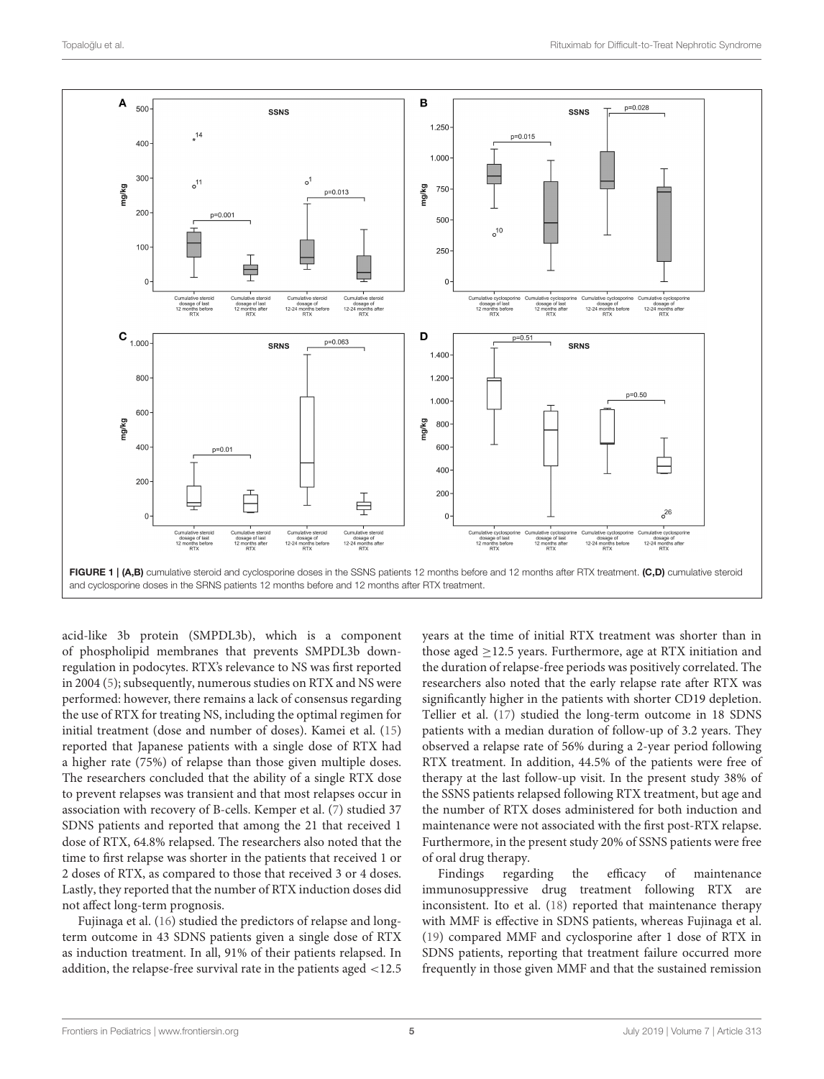

<span id="page-4-0"></span>acid-like 3b protein (SMPDL3b), which is a component of phospholipid membranes that prevents SMPDL3b downregulation in podocytes. RTX's relevance to NS was first reported in 2004 [\(5\)](#page-6-1); subsequently, numerous studies on RTX and NS were performed: however, there remains a lack of consensus regarding the use of RTX for treating NS, including the optimal regimen for initial treatment (dose and number of doses). Kamei et al. [\(15\)](#page-6-11) reported that Japanese patients with a single dose of RTX had a higher rate (75%) of relapse than those given multiple doses. The researchers concluded that the ability of a single RTX dose to prevent relapses was transient and that most relapses occur in association with recovery of B-cells. Kemper et al. [\(7\)](#page-6-3) studied 37 SDNS patients and reported that among the 21 that received 1 dose of RTX, 64.8% relapsed. The researchers also noted that the time to first relapse was shorter in the patients that received 1 or 2 doses of RTX, as compared to those that received 3 or 4 doses. Lastly, they reported that the number of RTX induction doses did not affect long-term prognosis.

Fujinaga et al. [\(16\)](#page-6-12) studied the predictors of relapse and longterm outcome in 43 SDNS patients given a single dose of RTX as induction treatment. In all, 91% of their patients relapsed. In addition, the relapse-free survival rate in the patients aged <12.5 years at the time of initial RTX treatment was shorter than in those aged  $\geq$ 12.5 years. Furthermore, age at RTX initiation and the duration of relapse-free periods was positively correlated. The researchers also noted that the early relapse rate after RTX was significantly higher in the patients with shorter CD19 depletion. Tellier et al. [\(17\)](#page-6-13) studied the long-term outcome in 18 SDNS patients with a median duration of follow-up of 3.2 years. They observed a relapse rate of 56% during a 2-year period following RTX treatment. In addition, 44.5% of the patients were free of therapy at the last follow-up visit. In the present study 38% of the SSNS patients relapsed following RTX treatment, but age and the number of RTX doses administered for both induction and maintenance were not associated with the first post-RTX relapse. Furthermore, in the present study 20% of SSNS patients were free of oral drug therapy.

Findings regarding the efficacy of maintenance immunosuppressive drug treatment following RTX are inconsistent. Ito et al. [\(18\)](#page-6-14) reported that maintenance therapy with MMF is effective in SDNS patients, whereas Fujinaga et al. [\(19\)](#page-6-15) compared MMF and cyclosporine after 1 dose of RTX in SDNS patients, reporting that treatment failure occurred more frequently in those given MMF and that the sustained remission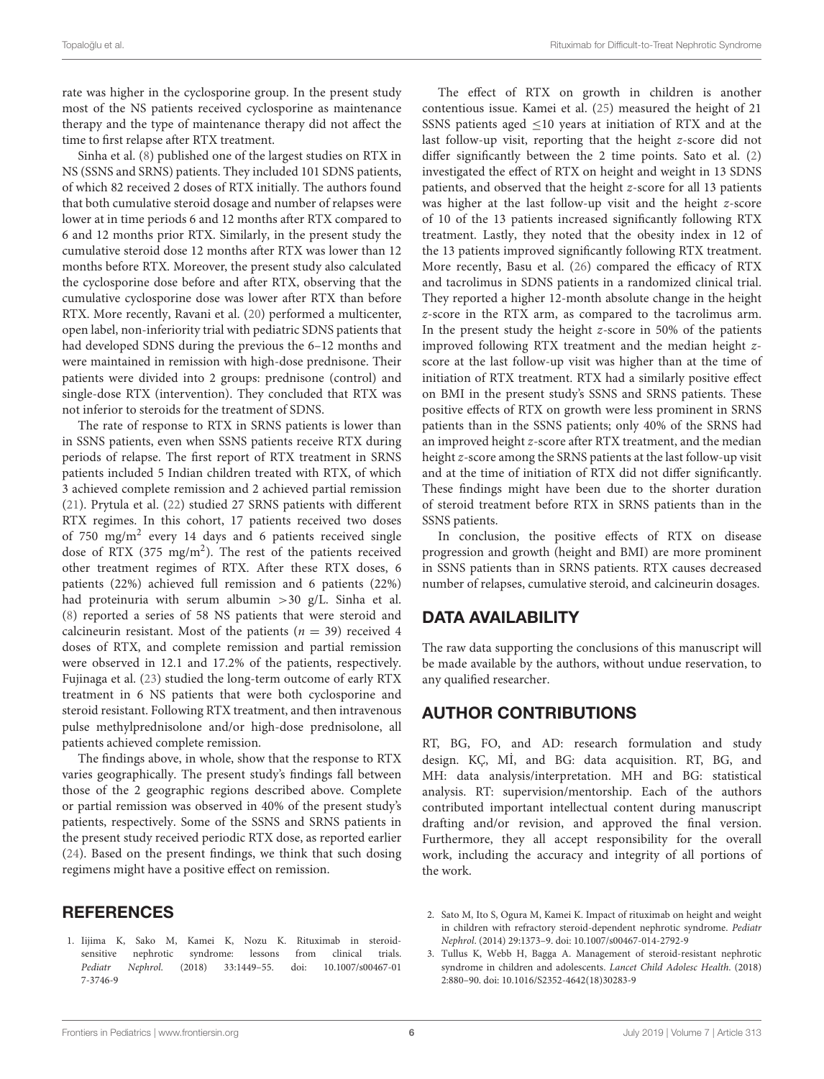rate was higher in the cyclosporine group. In the present study most of the NS patients received cyclosporine as maintenance therapy and the type of maintenance therapy did not affect the time to first relapse after RTX treatment.

Sinha et al. [\(8\)](#page-6-4) published one of the largest studies on RTX in NS (SSNS and SRNS) patients. They included 101 SDNS patients, of which 82 received 2 doses of RTX initially. The authors found that both cumulative steroid dosage and number of relapses were lower at in time periods 6 and 12 months after RTX compared to 6 and 12 months prior RTX. Similarly, in the present study the cumulative steroid dose 12 months after RTX was lower than 12 months before RTX. Moreover, the present study also calculated the cyclosporine dose before and after RTX, observing that the cumulative cyclosporine dose was lower after RTX than before RTX. More recently, Ravani et al. [\(20\)](#page-6-16) performed a multicenter, open label, non-inferiority trial with pediatric SDNS patients that had developed SDNS during the previous the 6–12 months and were maintained in remission with high-dose prednisone. Their patients were divided into 2 groups: prednisone (control) and single-dose RTX (intervention). They concluded that RTX was not inferior to steroids for the treatment of SDNS.

The rate of response to RTX in SRNS patients is lower than in SSNS patients, even when SSNS patients receive RTX during periods of relapse. The first report of RTX treatment in SRNS patients included 5 Indian children treated with RTX, of which 3 achieved complete remission and 2 achieved partial remission [\(21\)](#page-6-17). Prytula et al. [\(22\)](#page-6-18) studied 27 SRNS patients with different RTX regimes. In this cohort, 17 patients received two doses of 750 mg/m<sup>2</sup> every 14 days and 6 patients received single dose of RTX (375 mg/m<sup>2</sup>). The rest of the patients received other treatment regimes of RTX. After these RTX doses, 6 patients (22%) achieved full remission and 6 patients (22%) had proteinuria with serum albumin >30 g/L. Sinha et al. [\(8\)](#page-6-4) reported a series of 58 NS patients that were steroid and calcineurin resistant. Most of the patients ( $n = 39$ ) received 4 doses of RTX, and complete remission and partial remission were observed in 12.1 and 17.2% of the patients, respectively. Fujinaga et al. [\(23\)](#page-6-19) studied the long-term outcome of early RTX treatment in 6 NS patients that were both cyclosporine and steroid resistant. Following RTX treatment, and then intravenous pulse methylprednisolone and/or high-dose prednisolone, all patients achieved complete remission.

The findings above, in whole, show that the response to RTX varies geographically. The present study's findings fall between those of the 2 geographic regions described above. Complete or partial remission was observed in 40% of the present study's patients, respectively. Some of the SSNS and SRNS patients in the present study received periodic RTX dose, as reported earlier [\(24\)](#page-6-20). Based on the present findings, we think that such dosing regimens might have a positive effect on remission.

#### **REFERENCES**

<span id="page-5-0"></span>1. Iijima K, Sako M, Kamei K, Nozu K. Rituximab in steroidsensitive nephrotic syndrome: lessons from clinical trials. Pediatr Nephrol[. \(2018\) 33:1449–55. doi: 10.1007/s00467-01](https://doi.org/10.1007/s00467-017-3746-9) 7-3746-9

The effect of RTX on growth in children is another contentious issue. Kamei et al. [\(25\)](#page-6-21) measured the height of 21 SSNS patients aged  $\leq$ 10 years at initiation of RTX and at the last follow-up visit, reporting that the height z-score did not differ significantly between the 2 time points. Sato et al. [\(2\)](#page-5-1) investigated the effect of RTX on height and weight in 13 SDNS patients, and observed that the height z-score for all 13 patients was higher at the last follow-up visit and the height z-score of 10 of the 13 patients increased significantly following RTX treatment. Lastly, they noted that the obesity index in 12 of the 13 patients improved significantly following RTX treatment. More recently, Basu et al. [\(26\)](#page-6-22) compared the efficacy of RTX and tacrolimus in SDNS patients in a randomized clinical trial. They reported a higher 12-month absolute change in the height z-score in the RTX arm, as compared to the tacrolimus arm. In the present study the height  $z$ -score in 50% of the patients improved following RTX treatment and the median height zscore at the last follow-up visit was higher than at the time of initiation of RTX treatment. RTX had a similarly positive effect on BMI in the present study's SSNS and SRNS patients. These positive effects of RTX on growth were less prominent in SRNS patients than in the SSNS patients; only 40% of the SRNS had an improved height z-score after RTX treatment, and the median height z-score among the SRNS patients at the last follow-up visit and at the time of initiation of RTX did not differ significantly. These findings might have been due to the shorter duration of steroid treatment before RTX in SRNS patients than in the SSNS patients.

In conclusion, the positive effects of RTX on disease progression and growth (height and BMI) are more prominent in SSNS patients than in SRNS patients. RTX causes decreased number of relapses, cumulative steroid, and calcineurin dosages.

## DATA AVAILABILITY

The raw data supporting the conclusions of this manuscript will be made available by the authors, without undue reservation, to any qualified researcher.

# AUTHOR CONTRIBUTIONS

RT, BG, FO, and AD: research formulation and study design. KÇ, M˙I, and BG: data acquisition. RT, BG, and MH: data analysis/interpretation. MH and BG: statistical analysis. RT: supervision/mentorship. Each of the authors contributed important intellectual content during manuscript drafting and/or revision, and approved the final version. Furthermore, they all accept responsibility for the overall work, including the accuracy and integrity of all portions of the work.

- <span id="page-5-1"></span>2. Sato M, Ito S, Ogura M, Kamei K. Impact of rituximab on height and weight in children with refractory steroid-dependent nephrotic syndrome. Pediatr Nephrol. (2014) 29:1373–9. doi: [10.1007/s00467-014-2792-9](https://doi.org/10.1007/s00467-014-2792-9)
- <span id="page-5-2"></span>3. Tullus K, Webb H, Bagga A. Management of steroid-resistant nephrotic syndrome in children and adolescents. Lancet Child Adolesc Health. (2018) 2:880–90. doi: [10.1016/S2352-4642\(18\)30283-9](https://doi.org/10.1016/S2352-4642(18)30283-9)